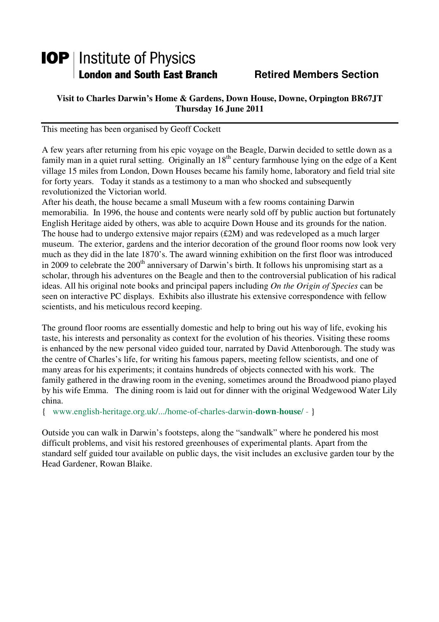# **IOP** | Institute of Physics **London and South East Branch Fig. 2. Retired Members Section**

## **Visit to Charles Darwin's Home & Gardens, Down House, Downe, Orpington BR67JT Thursday 16 June 2011**

This meeting has been organised by Geoff Cockett

A few years after returning from his epic voyage on the Beagle, Darwin decided to settle down as a family man in a quiet rural setting. Originally an 18<sup>th</sup> century farmhouse lying on the edge of a Kent village 15 miles from London, Down Houses became his family home, laboratory and field trial site for forty years. Today it stands as a testimony to a man who shocked and subsequently revolutionized the Victorian world.

After his death, the house became a small Museum with a few rooms containing Darwin memorabilia. In 1996, the house and contents were nearly sold off by public auction but fortunately English Heritage aided by others, was able to acquire Down House and its grounds for the nation. The house had to undergo extensive major repairs (£2M) and was redeveloped as a much larger museum. The exterior, gardens and the interior decoration of the ground floor rooms now look very much as they did in the late 1870's. The award winning exhibition on the first floor was introduced in 2009 to celebrate the  $200<sup>th</sup>$  anniversary of Darwin's birth. It follows his unpromising start as a scholar, through his adventures on the Beagle and then to the controversial publication of his radical ideas. All his original note books and principal papers including *On the Origin of Species* can be seen on interactive PC displays. Exhibits also illustrate his extensive correspondence with fellow scientists, and his meticulous record keeping.

The ground floor rooms are essentially domestic and help to bring out his way of life, evoking his taste, his interests and personality as context for the evolution of his theories. Visiting these rooms is enhanced by the new personal video guided tour, narrated by David Attenborough. The study was the centre of Charles's life, for writing his famous papers, meeting fellow scientists, and one of many areas for his experiments; it contains hundreds of objects connected with his work. The family gathered in the drawing room in the evening, sometimes around the Broadwood piano played by his wife Emma. The dining room is laid out for dinner with the original Wedgewood Water Lily china.

{ www.english-heritage.org.uk/.../home-of-charles-darwin-**down**-**house**/ - }

Outside you can walk in Darwin's footsteps, along the "sandwalk" where he pondered his most difficult problems, and visit his restored greenhouses of experimental plants. Apart from the standard self guided tour available on public days, the visit includes an exclusive garden tour by the Head Gardener, Rowan Blaike.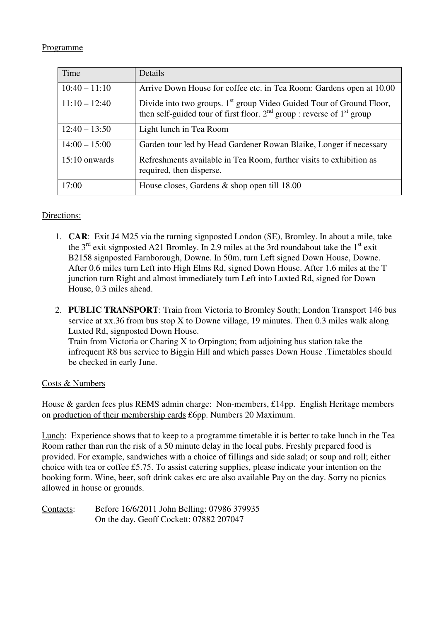#### Programme

| Time            | Details                                                                                                                                                        |
|-----------------|----------------------------------------------------------------------------------------------------------------------------------------------------------------|
| $10:40 - 11:10$ | Arrive Down House for coffee etc. in Tea Room: Gardens open at 10.00                                                                                           |
| $11:10 - 12:40$ | Divide into two groups. 1 <sup>st</sup> group Video Guided Tour of Ground Floor,<br>then self-guided tour of first floor. $2nd$ group : reverse of $1st$ group |
| $12:40 - 13:50$ | Light lunch in Tea Room                                                                                                                                        |
| $14:00 - 15:00$ | Garden tour led by Head Gardener Rowan Blaike, Longer if necessary                                                                                             |
| $15:10$ onwards | Refreshments available in Tea Room, further visits to exhibition as<br>required, then disperse.                                                                |
| 17:00           | House closes, Gardens $\&$ shop open till 18.00                                                                                                                |

### Directions:

- 1. **CAR**: Exit J4 M25 via the turning signposted London (SE), Bromley. In about a mile, take the  $3<sup>rd</sup>$  exit signposted A21 Bromley. In 2.9 miles at the 3rd roundabout take the 1<sup>st</sup> exit B2158 signposted Farnborough, Downe. In 50m, turn Left signed Down House, Downe. After 0.6 miles turn Left into High Elms Rd, signed Down House. After 1.6 miles at the T junction turn Right and almost immediately turn Left into Luxted Rd, signed for Down House, 0.3 miles ahead.
- 2. **PUBLIC TRANSPORT**: Train from Victoria to Bromley South; London Transport 146 bus service at xx.36 from bus stop X to Downe village, 19 minutes. Then 0.3 miles walk along Luxted Rd, signposted Down House. Train from Victoria or Charing X to Orpington; from adjoining bus station take the infrequent R8 bus service to Biggin Hill and which passes Down House .Timetables should be checked in early June.

### Costs & Numbers

House & garden fees plus REMS admin charge: Non-members, £14pp. English Heritage members on production of their membership cards £6pp. Numbers 20 Maximum.

Lunch: Experience shows that to keep to a programme timetable it is better to take lunch in the Tea Room rather than run the risk of a 50 minute delay in the local pubs. Freshly prepared food is provided. For example, sandwiches with a choice of fillings and side salad; or soup and roll; either choice with tea or coffee £5.75. To assist catering supplies, please indicate your intention on the booking form. Wine, beer, soft drink cakes etc are also available Pay on the day. Sorry no picnics allowed in house or grounds.

Contacts: Before 16/6/2011 John Belling: 07986 379935 On the day. Geoff Cockett: 07882 207047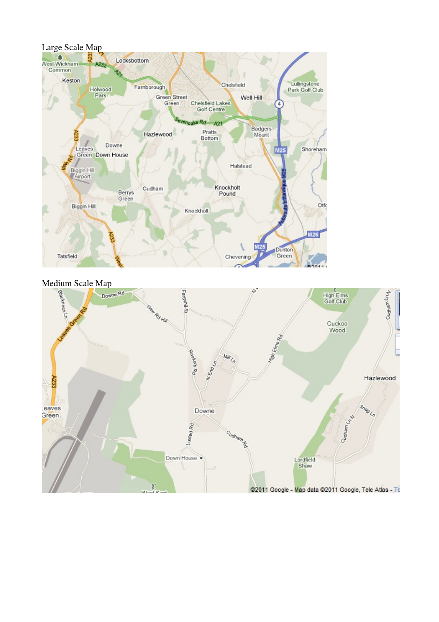